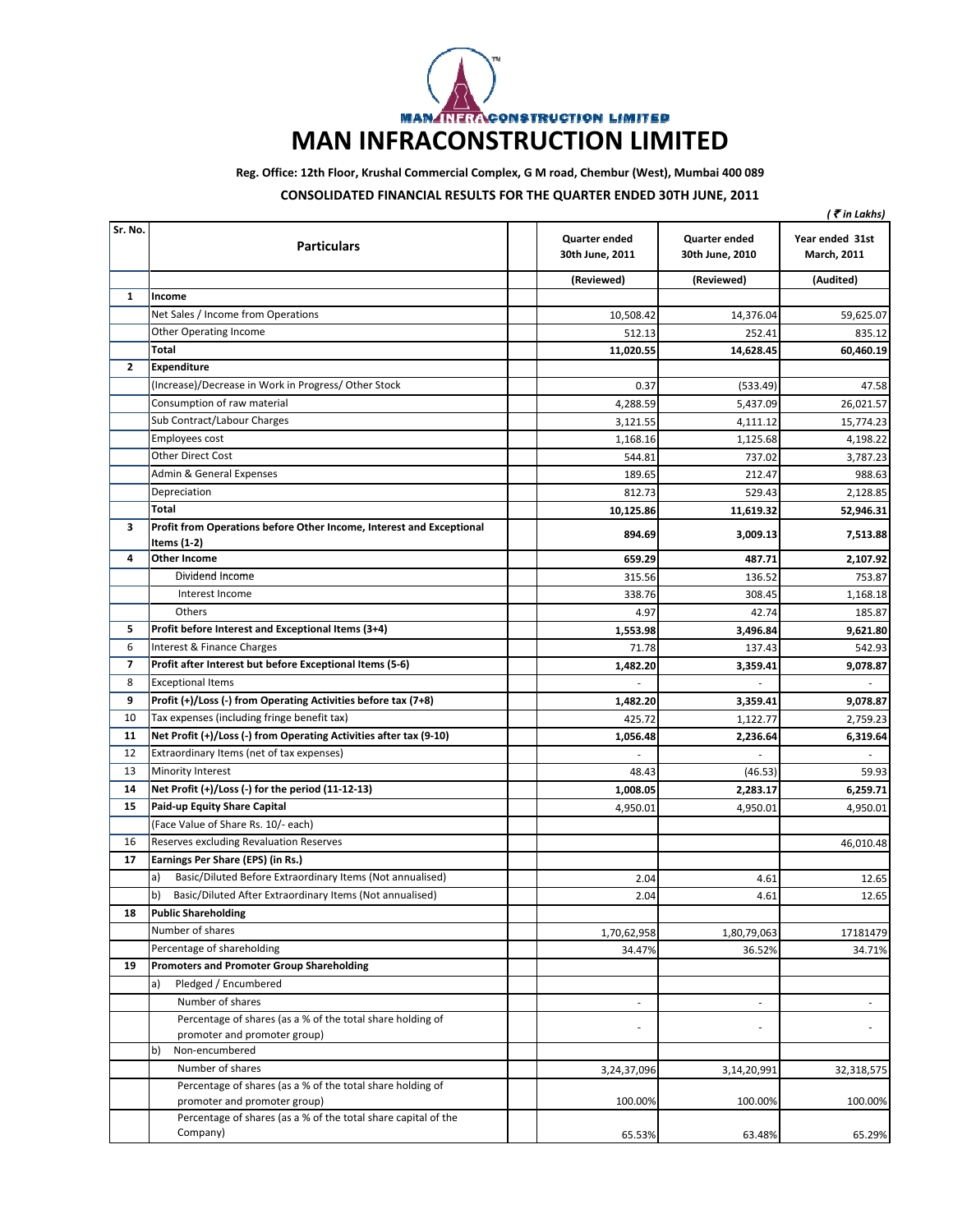

**Reg. Office: 12th Floor, Krushal Commercial Complex, G M road, Chembur (West), Mumbai 400 089**

## **CONSOLIDATED FINANCIAL RESULTS FOR THE QUARTER ENDED 30TH JUNE, 2011**

|              |                                                                                     |                                         |                                         | ( ₹ in Lakhs)                  |
|--------------|-------------------------------------------------------------------------------------|-----------------------------------------|-----------------------------------------|--------------------------------|
| Sr. No.      | <b>Particulars</b>                                                                  | <b>Quarter ended</b><br>30th June, 2011 | <b>Quarter ended</b><br>30th June, 2010 | Year ended 31st<br>March, 2011 |
|              |                                                                                     | (Reviewed)                              | (Reviewed)                              | (Audited)                      |
| 1            | Income                                                                              |                                         |                                         |                                |
|              | Net Sales / Income from Operations                                                  | 10,508.42                               | 14,376.04                               | 59,625.07                      |
|              | <b>Other Operating Income</b>                                                       | 512.13                                  | 252.41                                  | 835.12                         |
|              | Total                                                                               | 11,020.55                               | 14,628.45                               | 60,460.19                      |
| $\mathbf{2}$ | <b>Expenditure</b>                                                                  |                                         |                                         |                                |
|              | (Increase)/Decrease in Work in Progress/ Other Stock                                | 0.37                                    | (533.49)                                | 47.58                          |
|              | Consumption of raw material                                                         | 4,288.59                                | 5,437.09                                | 26,021.57                      |
|              | Sub Contract/Labour Charges                                                         | 3,121.55                                | 4,111.12                                | 15,774.23                      |
|              | Employees cost                                                                      | 1,168.16                                | 1,125.68                                | 4,198.22                       |
|              | <b>Other Direct Cost</b>                                                            | 544.81                                  | 737.02                                  | 3,787.23                       |
|              | Admin & General Expenses                                                            | 189.65                                  | 212.47                                  | 988.63                         |
|              | Depreciation                                                                        | 812.73                                  | 529.43                                  | 2,128.85                       |
|              | Total                                                                               | 10,125.86                               | 11,619.32                               | 52,946.31                      |
| 3            | Profit from Operations before Other Income, Interest and Exceptional<br>Items (1-2) | 894.69                                  | 3,009.13                                | 7,513.88                       |
| 4            | <b>Other Income</b>                                                                 | 659.29                                  | 487.71                                  | 2,107.92                       |
|              | Dividend Income                                                                     | 315.56                                  | 136.52                                  | 753.87                         |
|              | Interest Income                                                                     | 338.76                                  | 308.45                                  | 1,168.18                       |
|              | Others                                                                              | 4.97                                    | 42.74                                   | 185.87                         |
| 5            | Profit before Interest and Exceptional Items (3+4)                                  | 1,553.98                                | 3,496.84                                | 9,621.80                       |
| 6            | Interest & Finance Charges                                                          | 71.78                                   | 137.43                                  | 542.93                         |
| 7            | Profit after Interest but before Exceptional Items (5-6)                            | 1,482.20                                | 3,359.41                                | 9,078.87                       |
| 8            | <b>Exceptional Items</b>                                                            |                                         |                                         | ÷.                             |
| 9            | Profit (+)/Loss (-) from Operating Activities before tax (7+8)                      | 1,482.20                                | 3,359.41                                | 9,078.87                       |
| 10           | Tax expenses (including fringe benefit tax)                                         | 425.72                                  | 1,122.77                                | 2,759.23                       |
| 11           | Net Profit (+)/Loss (-) from Operating Activities after tax (9-10)                  | 1,056.48                                | 2,236.64                                | 6,319.64                       |
| 12           | Extraordinary Items (net of tax expenses)                                           | $\overline{\phantom{a}}$                |                                         |                                |
| 13           | Minority Interest                                                                   | 48.43                                   | (46.53)                                 | 59.93                          |
| 14           | Net Profit (+)/Loss (-) for the period (11-12-13)                                   | 1,008.05                                | 2,283.17                                | 6,259.71                       |
| 15           | <b>Paid-up Equity Share Capital</b>                                                 | 4,950.01                                | 4,950.01                                | 4,950.01                       |
|              | (Face Value of Share Rs. 10/- each)                                                 |                                         |                                         |                                |
| 16           | Reserves excluding Revaluation Reserves                                             |                                         |                                         | 46,010.48                      |
| 17           | Earnings Per Share (EPS) (in Rs.)                                                   |                                         |                                         |                                |
|              | a)<br>Basic/Diluted Before Extraordinary Items (Not annualised)                     | 2.04                                    | 4.61                                    | 12.65                          |
|              | b)<br>Basic/Diluted After Extraordinary Items (Not annualised)                      | 2.04                                    | 4.61                                    | 12.65                          |
| 18           | <b>Public Shareholding</b>                                                          |                                         |                                         |                                |
|              | Number of shares                                                                    | 1,70,62,958                             | 1,80,79,063                             | 17181479                       |
|              | Percentage of shareholding                                                          | 34.47%                                  | 36.52%                                  | 34.71%                         |
| 19           | <b>Promoters and Promoter Group Shareholding</b>                                    |                                         |                                         |                                |
|              | Pledged / Encumbered<br>a)                                                          |                                         |                                         |                                |
|              | Number of shares                                                                    | $\overline{\phantom{a}}$                | $\overline{\phantom{a}}$                |                                |
|              | Percentage of shares (as a % of the total share holding of                          |                                         |                                         |                                |
|              | promoter and promoter group)                                                        |                                         | ł,                                      |                                |
|              | b)<br>Non-encumbered                                                                |                                         |                                         |                                |
|              | Number of shares                                                                    | 3,24,37,096                             | 3,14,20,991                             | 32,318,575                     |
|              | Percentage of shares (as a % of the total share holding of                          |                                         |                                         |                                |
|              | promoter and promoter group)                                                        | 100.00%                                 | 100.00%                                 | 100.00%                        |
|              | Percentage of shares (as a % of the total share capital of the                      |                                         |                                         |                                |
|              | Company)                                                                            | 65.53%                                  | 63.48%                                  | 65.29%                         |